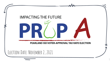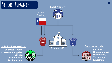## **School Finance**

#### **Local Property**



**Salaries/Benefits, Classroom Supplies, Utilities, Maintenance, Custodial, etc.**





**Facilities Construction & Renovation, Technology Equipment**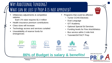#### **Why Additional Funding? What can be lost if Prop A is not approved?**

Inflationary adjustments & competitive salaries:

Each 1% raise requires \$1.4 million

- Health insurance premium contributions
- Class sizes will increase
- Technology access and services curtailed
- Unavailability of reserve funds for emergencies
- Programs that could be affected:
	- Turner CCHS Electives
	- Dual Language
	- G/T Academy
	- Optional Special Ed Services
	- Funding levels for Fine Arts/Athletics
	- Bus service within 2-mile limit
	- Tutorials/SAT/ACT Prep



1:1 Device Initiative



Class Sizes

**86% of Budget is salary & benefits!**

**Optional** Learning Programs



mpeasure 1.1 Device – Class Sizes – Optional – Facility Repairs<br>Salaries – Initiative – Class Sizes – Looming & **Maintenance** 





**M&O**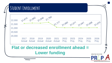## **Student Enrollment**



#### **Flat or decreased enrollment ahead = Lower funding**

**4** PEARLAND ISD VOTER-APPROVAL TAX RATE

**IMPACTING THE FUTURE**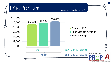## **Revenue Per Student**

*Based on 2020 Efficiency Audit*



PEARLAND ISD VOTER-APPROVAL TAX RATE ELECTION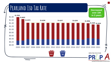# **Pearland Isd Tax Rate**

**Decreased over 10¢ in 3 years**



PEARLAND ISD VOTER-APPROVAL TAX RATE ELECTION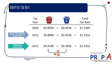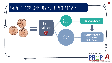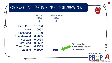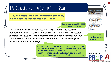#### **Ballot Wording – required by the state**

**May lead voters to think the District is raising taxes, when in fact the total tax rate is decreasing.** 

> Overall decrease of \$0.0033 from last year's rate.

"Ratifying the ad valorem tax rate of **\$1.3152/\$100** in the Pearland Independent School District for the current year, a rate that will result in **an increase of 6.09 percent in maintenance and operations tax revenue**  for the district for the current year as compared to the preceding year, which is an additional **\$4,255,612**."

> Does not account for the decrease in debt service revenue and does not adjust for inflation. Additional M&O revenues will fund daily operational costs, including student programs, competitive salaries to retain teachers, and maintaining educational choices for families and students.

Pearland Independent School District Voter **Approval Tax Rate Special Election** .<br>lectión especial de tasa de impuestos aprobada por lo. tantes del Distrito Escolar Independiente de Pearland

**Pearland ISD Proposition A** Proposición A del Distrito Escolar Independiente d

Against En contra

Pearland Ratifying the ad valorem tax rate of \$1.3152/\$100 in the Pearland Independent School District for the current year, a rate that will result in an increase of 6.09 percent in maintenance and operations tax revenue for the district for the current year as compared to the preceding year, which is an additional \$4,255,612. Ratificar la tasa de impuestos ad valorem de \$1.3152/\$100 en el Distrito Escolar Independiente de Pearland para el año actual, una tasa que dará como resultado un aumento del 6.09 por ciento en los ingresos del impuesto para maintenimiento y operaciones del distrito para el año actual en comparación con el año anterior, que es un \$4,255,612  $For A favor$ 

Does not consider the debt service tax rate decrease.

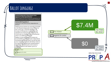## **Ballot Language**

Pearland Independent School District Voter-**Approval Tax Rate Special Election** Electión especial de tasa de impuestos aprobada por los votantes del Distrito Escolar Independiente de Pearland

**Pearland ISD Proposition A** 

Proposición A del Distrito Escolar Independiente de Pearland

Ratifying the ad valorem tax rate of \$1.3152/\$100 in the Pearland Independent School District for the current year, a rate that will result in an increase of 6.09 percent in maintenance and operations tax revenue for the district for the current year as compared to the preceding year, which is an additional \$4,255,612.

Ratificar la tasa de impuestos ad valorem de \$1.3152/\$100 en el Distrito Escolar Independiente de Pearland para el año actual, una tasa que dará como resultado un aumento del 6.09 por ciento en los ingresos del impuesto para maintenimiento y operaciones del distrito para el año actual en comparación con el año anterior, que es un \$4,255,612

For A favor

Against En contra

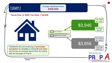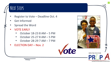## **Next Steps**

- Register to Vote Deadline Oct. 4
- Get Informed
- Spread the Word
- VOTE EARLY
	- October 18-23 8 AM 5 PM
	- October 25-27 8 AM 5 PM
	- October 28-29 7 AM 7 PM
- ELECTION DAY Nov. 2



**13**